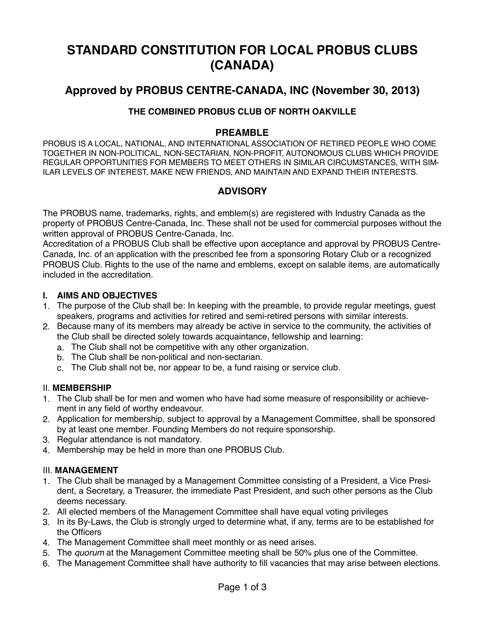# **STANDARD CONSTITUTION FOR LOCAL PROBUS CLUBS (CANADA)**

## **Approved by PROBUS CENTRE-CANADA, INC (November 30, 2013)**

#### **THE COMBINED PROBUS CLUB OF NORTH OAKVILLE**

#### **PREAMBLE**

PROBUS IS A LOCAL, NATIONAL, AND INTERNATIONAL ASSOCIATION OF RETIRED PEOPLE WHO COME TOGETHER IN NON-POLITICAL, NON-SECTARIAN, NON-PROFIT, AUTONOMOUS CLUBS WHICH PROVIDE REGULAR OPPORTUNITIES FOR MEMBERS TO MEET OTHERS IN SIMILAR CIRCUMSTANCES, WITH SIM-ILAR LEVELS OF INTEREST, MAKE NEW FRIENDS, AND MAINTAIN AND EXPAND THEIR INTERESTS.

## **ADVISORY**

The PROBUS name, trademarks, rights, and emblem(s) are registered with Industry Canada as the property of PROBUS Centre-Canada, Inc. These shall not be used for commercial purposes without the written approval of PROBUS Centre-Canada, Inc.

Accreditation of a PROBUS Club shall be effective upon acceptance and approval by PROBUS Centre-Canada, Inc. of an application with the prescribed fee from a sponsoring Rotary Club or a recognized PROBUS Club. Rights to the use of the name and emblems, except on salable items, are automatically included in the accreditation.

#### **I. AIMS AND OBJECTIVES**

- 1. The purpose of the Club shall be: In keeping with the preamble, to provide regular meetings, guest speakers, programs and activities for retired and semi-retired persons with similar interests.
- 2. Because many of its members may already be active in service to the community, the activities of the Club shall be directed solely towards acquaintance, fellowship and learning:
	- a. The Club shall not be competitive with any other organization.
	- b. The Club shall be non-political and non-sectarian.
	- c. The Club shall not be, nor appear to be, a fund raising or service club.

#### II. **MEMBERSHIP**

- 1. The Club shall be for men and women who have had some measure of responsibility or achievement in any field of worthy endeavour.
- 2. Application for membership, subject to approval by a Management Committee, shall be sponsored by at least one member. Founding Members do not require sponsorship.
- 3. Regular attendance is not mandatory.
- 4. Membership may be held in more than one PROBUS Club.

#### III. **MANAGEMENT**

- 1. The Club shall be managed by a Management Committee consisting of a President, a Vice President, a Secretary, a Treasurer, the immediate Past President, and such other persons as the Club deems necessary.
- 2. All elected members of the Management Committee shall have equal voting privileges
- 3. In its By-Laws, the Club is strongly urged to determine what, if any, terms are to be established for the Officers
- 4. The Management Committee shall meet monthly or as need arises.
- 5. The *quorum* at the Management Committee meeting shall be 50% plus one of the Committee.
- 6. The Management Committee shall have authority to fill vacancies that may arise between elections.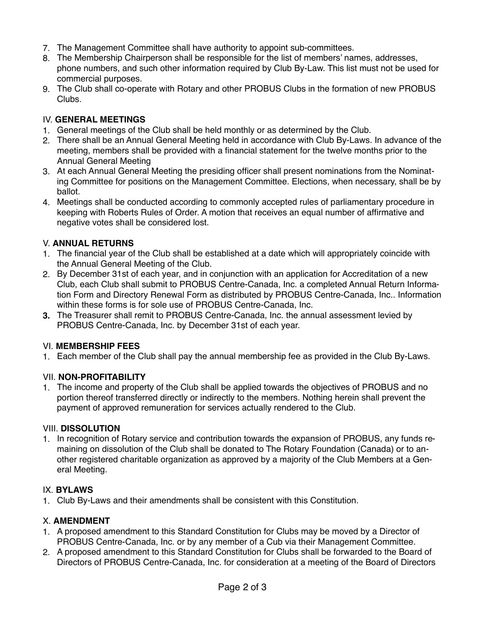- 7. The Management Committee shall have authority to appoint sub-committees.
- 8. The Membership Chairperson shall be responsible for the list of members' names, addresses, phone numbers, and such other information required by Club By-Law. This list must not be used for commercial purposes.
- 9. The Club shall co-operate with Rotary and other PROBUS Clubs in the formation of new PROBUS Clubs.

## IV. **GENERAL MEETINGS**

- 1. General meetings of the Club shall be held monthly or as determined by the Club.
- 2. There shall be an Annual General Meeting held in accordance with Club By-Laws. In advance of the meeting, members shall be provided with a financial statement for the twelve months prior to the Annual General Meeting
- 3. At each Annual General Meeting the presiding officer shall present nominations from the Nominating Committee for positions on the Management Committee. Elections, when necessary, shall be by ballot.
- 4. Meetings shall be conducted according to commonly accepted rules of parliamentary procedure in keeping with Roberts Rules of Order. A motion that receives an equal number of affirmative and negative votes shall be considered lost.

## V. **ANNUAL RETURNS**

- 1. The financial year of the Club shall be established at a date which will appropriately coincide with the Annual General Meeting of the Club.
- 2. By December 31st of each year, and in conjunction with an application for Accreditation of a new Club, each Club shall submit to PROBUS Centre-Canada, Inc. a completed Annual Return Information Form and Directory Renewal Form as distributed by PROBUS Centre-Canada, Inc.. Information within these forms is for sole use of PROBUS Centre-Canada, Inc.
- **3.** The Treasurer shall remit to PROBUS Centre-Canada, Inc. the annual assessment levied by PROBUS Centre-Canada, Inc. by December 31st of each year.

#### VI. **MEMBERSHIP FEES**

1. Each member of the Club shall pay the annual membership fee as provided in the Club By-Laws.

#### VII. **NON-PROFITABILITY**

1. The income and property of the Club shall be applied towards the objectives of PROBUS and no portion thereof transferred directly or indirectly to the members. Nothing herein shall prevent the payment of approved remuneration for services actually rendered to the Club.

#### VIII. **DISSOLUTION**

1. In recognition of Rotary service and contribution towards the expansion of PROBUS, any funds remaining on dissolution of the Club shall be donated to The Rotary Foundation (Canada) or to another registered charitable organization as approved by a majority of the Club Members at a General Meeting.

#### IX. **BYLAWS**

1. Club By-Laws and their amendments shall be consistent with this Constitution.

#### X. **AMENDMENT**

- 1. A proposed amendment to this Standard Constitution for Clubs may be moved by a Director of PROBUS Centre-Canada, Inc. or by any member of a Cub via their Management Committee.
- 2. A proposed amendment to this Standard Constitution for Clubs shall be forwarded to the Board of Directors of PROBUS Centre-Canada, Inc. for consideration at a meeting of the Board of Directors